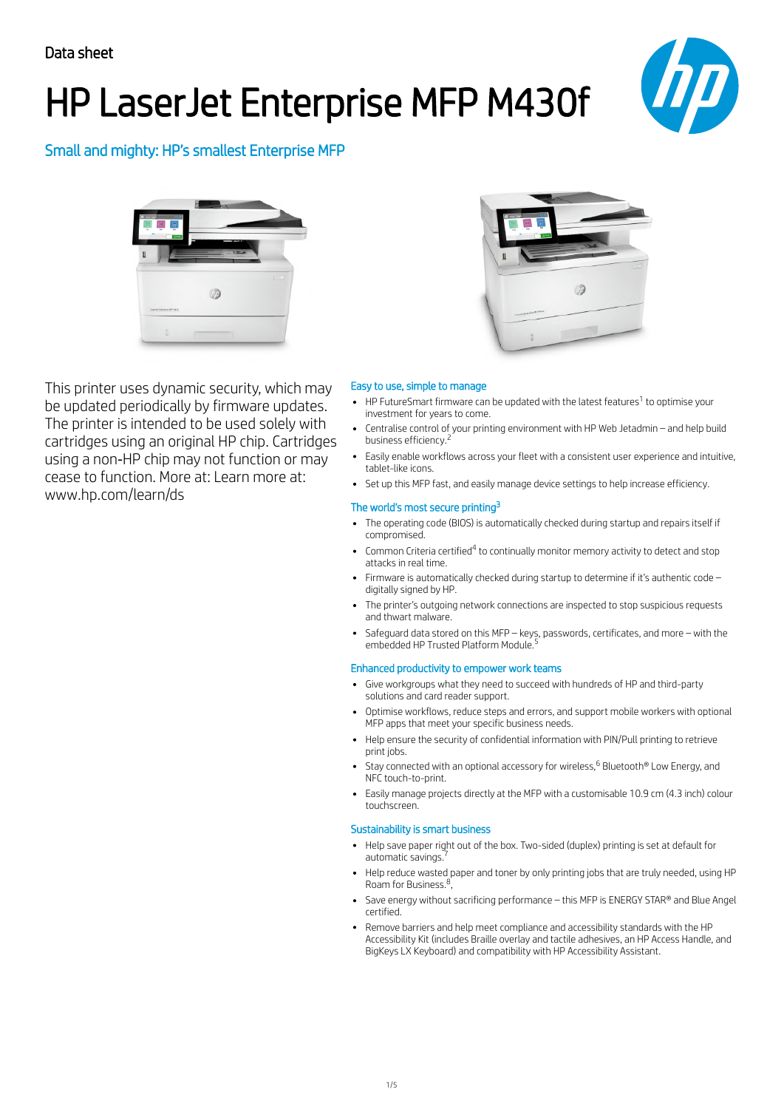# HP LaserJet Enterprise MFP M430f



Small and mighty: HP's smallest Enterprise MFP



This printer uses dynamic security, which may be updated periodically by firmware updates. The printer is intended to be used solely with cartridges using an original HP chip. Cartridges using a non‐HP chip may not function or may cease to function. More at: Learn more at: www.hp.com/learn/ds



## Easy to use, simple to manage

- HP FutureSmart firmware can be updated with the latest features $^1$  to optimise your investment for years to come.
- Centralise control of your printing environment with HP Web Jetadmin and help build business efficiency. 2
- Easily enable workflows across your fleet with a consistent user experience and intuitive, tablet-like icons.
- Set up this MFP fast, and easily manage device settings to help increase efficiency.

#### The world's most secure printing<sup>3</sup>

- The operating code (BIOS) is automatically checked during startup and repairs itself if compromised.
- Common Criteria certified<sup>4</sup> to continually monitor memory activity to detect and stop attacks in real time.
- Firmware is automatically checked during startup to determine if it's authentic code digitally signed by HP.
- The printer's outgoing network connections are inspected to stop suspicious requests and thwart malware.
- Safeguard data stored on this MFP keys, passwords, certificates, and more with the<br>embedded HP Trusted Platform Module <sup>5</sup> embedded HP Trusted Platform Module.

#### Enhanced productivity to empower work teams

- Give workgroups what they need to succeed with hundreds of HP and third-party solutions and card reader support.
- $\bullet$ Optimise workflows, reduce steps and errors, and support mobile workers with optional MFP apps that meet your specific business needs.
- Help ensure the security of confidential information with PIN/Pull printing to retrieve print jobs.
- Stay connected with an optional accessory for wireless, $^6$  Bluetooth $^{\circ}$  Low Energy, and NFC touch-to-print.
- $\bullet$ Easily manage projects directly at the MFP with a customisable 10.9 cm (4.3 inch) colour touchscreen.

### Sustainability is smart business

- Help save paper right out of the box. Two-sided (duplex) printing is set at default for<br>automatic savings <sup>7</sup> automatic savings.
- Help reduce wasted paper and toner by only printing jobs that are truly needed, using HP Roam for Business.<sup>8</sup>,
- Save energy without sacrificing performance this MFP is ENERGY STAR® and Blue Angel certified.
- Remove barriers and help meet compliance and accessibility standards with the HP Accessibility Kit (includes Braille overlay and tactile adhesives, an HP Access Handle, and BigKeys LX Keyboard) and compatibility with HP Accessibility Assistant.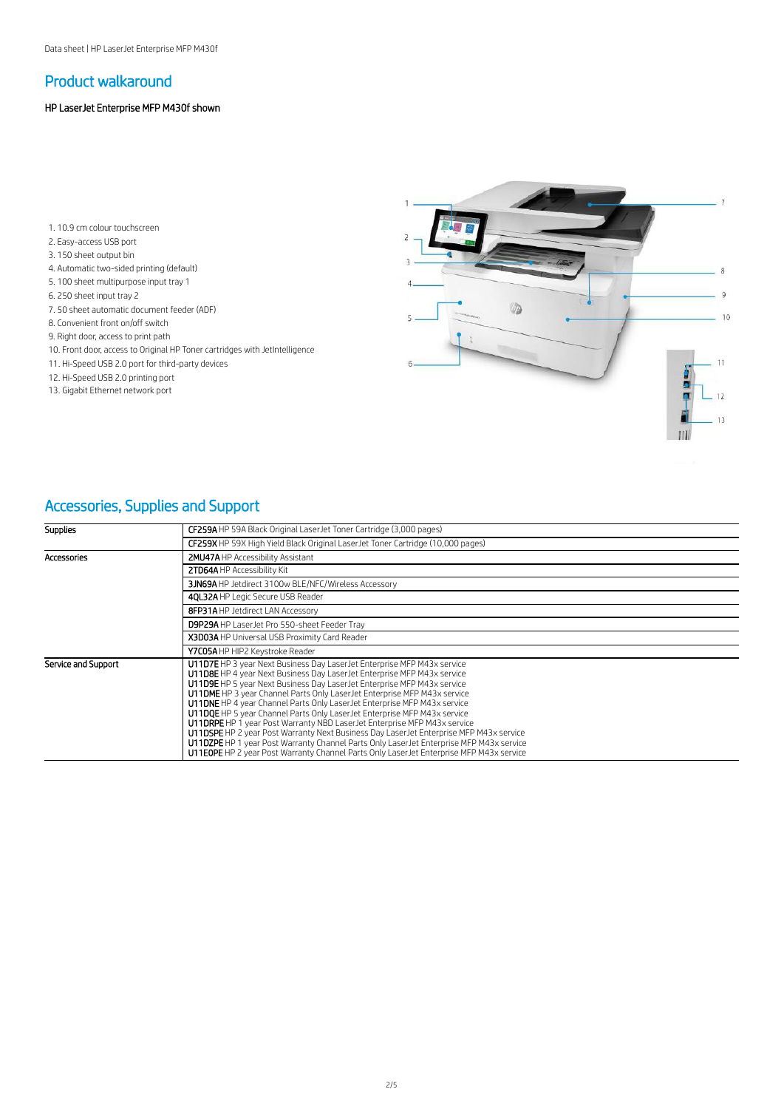## Product walkaround

### HP LaserJet Enterprise MFP M430f shown

- 1. 10.9 cm colour touchscreen
- 2. Easy-access USB port
- 3. 150 sheet output bin
- 4. Automatic two-sided printing (default)
- 5. 100 sheet multipurpose input tray 1
- 6. 250 sheet input tray 2
- 7. 50 sheet automatic document feeder (ADF)
- 8. Convenient front on/off switch
- 9. Right door, access to print path
- 10. Front door, access to Original HP Toner cartridges with JetIntelligence
- 11. Hi-Speed USB 2.0 port for third-party devices
- 12. Hi-Speed USB 2.0 printing port
- 13. Gigabit Ethernet network port



# Accessories, Supplies and Support

| <b>Supplies</b>     | <b>CF259A</b> HP 59A Black Original Laser Jet Toner Cartridge (3,000 pages)                                                                                                                                                                                                                                                                                                                                                                                                                                                                                                                                                                                                                                                                                                                                                                |
|---------------------|--------------------------------------------------------------------------------------------------------------------------------------------------------------------------------------------------------------------------------------------------------------------------------------------------------------------------------------------------------------------------------------------------------------------------------------------------------------------------------------------------------------------------------------------------------------------------------------------------------------------------------------------------------------------------------------------------------------------------------------------------------------------------------------------------------------------------------------------|
|                     | CF259X HP 59X High Yield Black Original Laser Jet Toner Cartridge (10,000 pages)                                                                                                                                                                                                                                                                                                                                                                                                                                                                                                                                                                                                                                                                                                                                                           |
| Accessories         | 2MU47A HP Accessibility Assistant                                                                                                                                                                                                                                                                                                                                                                                                                                                                                                                                                                                                                                                                                                                                                                                                          |
|                     | 2TD64A HP Accessibility Kit                                                                                                                                                                                                                                                                                                                                                                                                                                                                                                                                                                                                                                                                                                                                                                                                                |
|                     | 3JN69A HP Jetdirect 3100w BLE/NFC/Wireless Accessory                                                                                                                                                                                                                                                                                                                                                                                                                                                                                                                                                                                                                                                                                                                                                                                       |
|                     | 40L32A HP Legic Secure USB Reader                                                                                                                                                                                                                                                                                                                                                                                                                                                                                                                                                                                                                                                                                                                                                                                                          |
|                     | 8FP31A HP Jetdirect LAN Accessory                                                                                                                                                                                                                                                                                                                                                                                                                                                                                                                                                                                                                                                                                                                                                                                                          |
|                     | D9P29A HP LaserJet Pro 550-sheet Feeder Tray                                                                                                                                                                                                                                                                                                                                                                                                                                                                                                                                                                                                                                                                                                                                                                                               |
|                     | X3D03A HP Universal USB Proximity Card Reader                                                                                                                                                                                                                                                                                                                                                                                                                                                                                                                                                                                                                                                                                                                                                                                              |
|                     | Y7C05A HP HIP2 Keystroke Reader                                                                                                                                                                                                                                                                                                                                                                                                                                                                                                                                                                                                                                                                                                                                                                                                            |
| Service and Support | U11D7E HP 3 year Next Business Day LaserJet Enterprise MFP M43x service<br>U11D8E HP 4 year Next Business Day Laser Jet Enterprise MFP M43x service<br>U11D9E HP 5 year Next Business Day Laser Jet Enterprise MFP M43x service<br><b>U11DME</b> HP 3 year Channel Parts Only Laser Jet Enterprise MFP M43x service<br>U11DNE HP 4 year Channel Parts Only Laser Jet Enterprise MFP M43x service<br>U11DQE HP 5 year Channel Parts Only LaserJet Enterprise MFP M43x service<br>U11DRPE HP 1 year Post Warranty NBD Laser Jet Enterprise MFP M43x service<br>U11DSPE HP 2 year Post Warranty Next Business Day Laser Jet Enterprise MFP M43x service<br>U11DZPE HP 1 year Post Warranty Channel Parts Only LaserJet Enterprise MFP M43x service<br>U11EOPE HP 2 year Post Warranty Channel Parts Only LaserJet Enterprise MFP M43x service |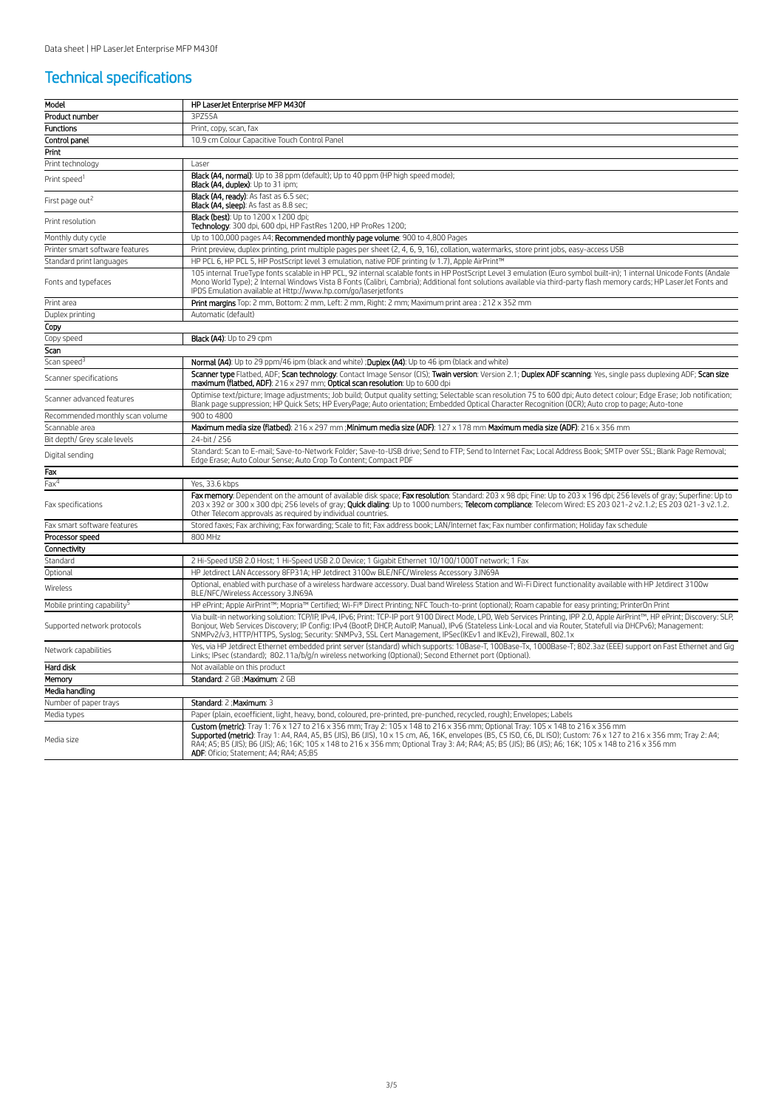## Technical specifications

| Model                                   | HP LaserJet Enterprise MFP M430f                                                                                                                                                                                                                                                                                                                                                                                                                                                                                |
|-----------------------------------------|-----------------------------------------------------------------------------------------------------------------------------------------------------------------------------------------------------------------------------------------------------------------------------------------------------------------------------------------------------------------------------------------------------------------------------------------------------------------------------------------------------------------|
| Product number                          | 3P755A                                                                                                                                                                                                                                                                                                                                                                                                                                                                                                          |
| <b>Functions</b>                        | Print, copy, scan, fax                                                                                                                                                                                                                                                                                                                                                                                                                                                                                          |
| Control panel                           | 10.9 cm Colour Capacitive Touch Control Panel                                                                                                                                                                                                                                                                                                                                                                                                                                                                   |
| Print                                   |                                                                                                                                                                                                                                                                                                                                                                                                                                                                                                                 |
| Print technology                        | Laser                                                                                                                                                                                                                                                                                                                                                                                                                                                                                                           |
| Print speed <sup>1</sup>                | Black (A4, normal): Up to 38 ppm (default); Up to 40 ppm (HP high speed mode);<br>Black (A4, duplex): Up to 31 ipm;                                                                                                                                                                                                                                                                                                                                                                                             |
| First page out <sup>2</sup>             | Black (A4, ready): As fast as 6.5 sec;<br>Black (A4, sleep): As fast as 8.8 sec;                                                                                                                                                                                                                                                                                                                                                                                                                                |
| Print resolution                        | <b>Black (best)</b> : Up to 1200 x 1200 dpi;<br>Technology: 300 dpi, 600 dpi, HP FastRes 1200, HP ProRes 1200;                                                                                                                                                                                                                                                                                                                                                                                                  |
| Monthly duty cycle                      | Up to 100,000 pages A4; Recommended monthly page volume: 900 to 4,800 Pages                                                                                                                                                                                                                                                                                                                                                                                                                                     |
| Printer smart software features         | Print preview, duplex printing, print multiple pages per sheet (2, 4, 6, 9, 16), collation, watermarks, store print jobs, easy-access USB                                                                                                                                                                                                                                                                                                                                                                       |
| Standard print languages                | HP PCL 6, HP PCL 5, HP PostScript level 3 emulation, native PDF printing (v 1.7), Apple AirPrint™                                                                                                                                                                                                                                                                                                                                                                                                               |
| Fonts and typefaces                     | 105 internal TrueType fonts scalable in HP PCL, 92 internal scalable fonts in HP PostScript Level 3 emulation (Euro symbol built-in); 1 internal Unicode Fonts (Andale<br>Mono World Type); 2 Internal Windows Vista 8 Fonts (Calibri, Cambria); Additional font solutions available via third-party flash memory cards; HP LaserJet Fonts and<br>IPDS Emulation available at Http://www.hp.com/go/laserjetfonts                                                                                                |
| Print area                              | Print margins Top: 2 mm, Bottom: 2 mm, Left: 2 mm, Right: 2 mm; Maximum print area : 212 x 352 mm                                                                                                                                                                                                                                                                                                                                                                                                               |
| Duplex printing                         | Automatic (default)                                                                                                                                                                                                                                                                                                                                                                                                                                                                                             |
| Copy                                    |                                                                                                                                                                                                                                                                                                                                                                                                                                                                                                                 |
| Copy speed                              | Black (A4): Up to 29 cpm                                                                                                                                                                                                                                                                                                                                                                                                                                                                                        |
| Scan                                    |                                                                                                                                                                                                                                                                                                                                                                                                                                                                                                                 |
| Scan speed <sup>3</sup>                 | Normal (A4): Up to 29 ppm/46 ipm (black and white) ; Duplex (A4): Up to 46 ipm (black and white)                                                                                                                                                                                                                                                                                                                                                                                                                |
| Scanner specifications                  | Scanner type Flatbed, ADF; Scan technology: Contact Image Sensor (CIS); Twain version: Version 2.1; Duplex ADF scanning: Yes, single pass duplexing ADF; Scan size<br>maximum (flatbed, ADF): 216 x 297 mm; Optical scan resolution: Up to 600 dpi                                                                                                                                                                                                                                                              |
| Scanner advanced features               | Optimise text/picture; Image adjustments; Job build; Output quality setting; Selectable scan resolution 75 to 600 dpi; Auto detect colour; Edge Erase; Job notification;<br>Blank page suppression; HP Quick Sets; HP EveryPage; Auto orientation; Embedded Optical Character Recognition (OCR); Auto crop to page; Auto-tone                                                                                                                                                                                   |
| Recommended monthly scan volume         | 900 to 4800                                                                                                                                                                                                                                                                                                                                                                                                                                                                                                     |
| Scannable area                          | Maximum media size (flatbed): 216 x 297 mm : Minimum media size (ADF): 127 x 178 mm Maximum media size (ADF): 216 x 356 mm                                                                                                                                                                                                                                                                                                                                                                                      |
| Bit depth/ Grey scale levels            | 24-bit / 256                                                                                                                                                                                                                                                                                                                                                                                                                                                                                                    |
| Digital sending                         | Standard: Scan to E-mail: Save-to-Network Folder: Save-to-USB drive: Send to FTP: Send to Internet Fax: Local Address Book: SMTP over SSL: Blank Page Removal:<br>Edge Erase; Auto Colour Sense; Auto Crop To Content; Compact PDF                                                                                                                                                                                                                                                                              |
| Fax                                     |                                                                                                                                                                                                                                                                                                                                                                                                                                                                                                                 |
| $Fax^4$                                 | Yes, 33.6 kbps                                                                                                                                                                                                                                                                                                                                                                                                                                                                                                  |
| Fax specifications                      | Fax memory: Dependent on the amount of available disk space; Fax resolution: Standard: 203 x 98 dpi; Fine: Up to 203 x 196 dpi; 256 levels of gray; Superfine: Up to<br>200 x 392 or 300 x 300 dpi; 256 levels of gray; Quick dialing: Up to 1000 numbers; Telecom compliance: Telecom Wired: ES 203 021-2 v2.1.2; ES 203 021-3 v2.1.2.<br>Other Telecom approvals as required by individual countries.                                                                                                         |
| Fax smart software features             | Stored faxes; Fax archiving; Fax forwarding; Scale to fit; Fax address book; LAN/Internet fax; Fax number confirmation; Holiday fax schedule                                                                                                                                                                                                                                                                                                                                                                    |
| Processor speed                         | 800 MHz                                                                                                                                                                                                                                                                                                                                                                                                                                                                                                         |
| Connectivity                            |                                                                                                                                                                                                                                                                                                                                                                                                                                                                                                                 |
| Standard                                | 2 Hi-Speed USB 2.0 Host; 1 Hi-Speed USB 2.0 Device; 1 Gigabit Ethernet 10/100/1000T network; 1 Fax                                                                                                                                                                                                                                                                                                                                                                                                              |
| <b>Optional</b>                         | HP Jetdirect LAN Accessory 8FP31A; HP Jetdirect 3100w BLE/NFC/Wireless Accessory 3JN69A                                                                                                                                                                                                                                                                                                                                                                                                                         |
| Wireless                                | Optional, enabled with purchase of a wireless hardware accessory. Dual band Wireless Station and Wi-Fi Direct functionality available with HP Jetdirect 3100w<br>BLE/NFC/Wireless Accessory 3JN69A                                                                                                                                                                                                                                                                                                              |
| Mobile printing capability <sup>5</sup> | HP ePrint; Apple AirPrint™; Mopria™ Certified; Wi-Fi® Direct Printing; NFC Touch-to-print (optional); Roam capable for easy printing; PrinterOn Print                                                                                                                                                                                                                                                                                                                                                           |
| Supported network protocols             | Via built-in networking solution: TCP/IP, IPv4, IPv6; Print: TCP-IP port 9100 Direct Mode, LPD, Web Services Printing, IPP 2.0, Apple AirPrint™, HP ePrint: Discovery: SLP,<br>Boniour, Web Services Discovery: IP Config: IPv4 (BootP, DHCP, AutoIP, Manual), IPv6 (Stateless Link-Local and via Router, Statefull via DHCPv6); Management:<br>SNMPv2/v3, HTTP/HTTPS, Syslog; Security: SNMPv3, SSL Cert Management, IPSec(IKEv1 and IKEv2), Firewall, 802.1x                                                  |
| Network capabilities                    | Yes, via HP Jetdirect Ethernet embedded print server (standard) which supports: 10Base-T, 100Base-Tx, 1000Base-T; 802.3az (EEE) support on Fast Ethernet and Gig<br>Links; IPsec (standard); 802.11a/b/g/n wireless networking (Optional); Second Ethernet port (Optional).                                                                                                                                                                                                                                     |
| Hard disk                               | Not available on this product                                                                                                                                                                                                                                                                                                                                                                                                                                                                                   |
| Memory                                  | Standard: 2 GB ; Maximum: 2 GB                                                                                                                                                                                                                                                                                                                                                                                                                                                                                  |
| Media handling                          |                                                                                                                                                                                                                                                                                                                                                                                                                                                                                                                 |
| Number of paper trays                   | Standard: 2 ; Maximum: 3                                                                                                                                                                                                                                                                                                                                                                                                                                                                                        |
| Media types                             | Paper (plain, ecoefficient, light, heavy, bond, coloured, pre-printed, pre-punched, recycled, rough); Envelopes; Labels                                                                                                                                                                                                                                                                                                                                                                                         |
| Media size                              | Custom (metric): Tray 1: 76 x 127 to 216 x 356 mm; Tray 2: 105 x 148 to 216 x 356 mm; Optional Tray: 105 x 148 to 216 x 356 mm<br>Supported (metric): Tray 1: A4, RA4, A5, B5 (JIS), B6 (JIS), 10 x 15 cm, A6, 16K, envelopes (B5, C5 ISO, C6, DL ISO); Custom: 76 x 127 to 216 x 356 mm; Tray 2: A4;<br>RA4; A5; B5 (JIS); B6 (JIS); A6; 16K; 105 x 148 to 216 x 356 mm; Optional Tray 3: A4; RA4; A5; B5 (JIS); B6 (JIS); A6; 16K; 105 x 148 to 216 x 356 mm<br><b>ADF:</b> Oficio; Statement; A4; RA4; A5;B5 |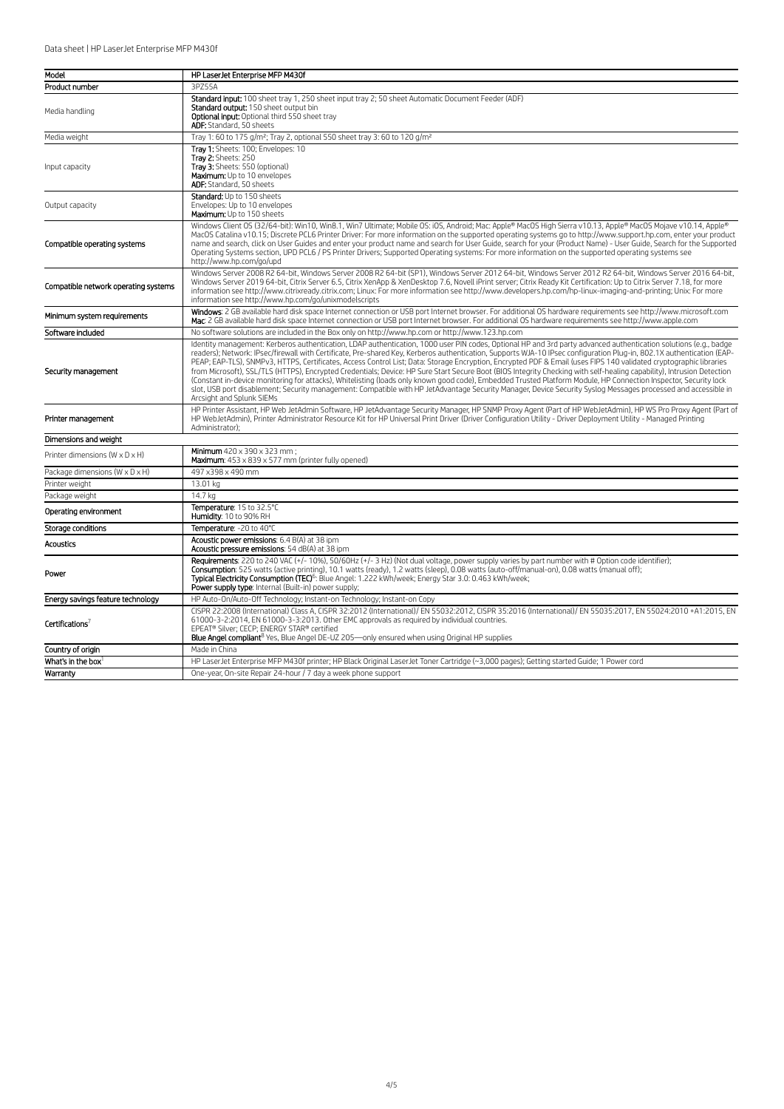| Model                                      | HP LaserJet Enterprise MFP M430f                                                                                                                                                                                                                                                                                                                                                                                                                                                                                                                                                                                                                                                                                                                                                                                                                                                                                                                                                                                                                             |
|--------------------------------------------|--------------------------------------------------------------------------------------------------------------------------------------------------------------------------------------------------------------------------------------------------------------------------------------------------------------------------------------------------------------------------------------------------------------------------------------------------------------------------------------------------------------------------------------------------------------------------------------------------------------------------------------------------------------------------------------------------------------------------------------------------------------------------------------------------------------------------------------------------------------------------------------------------------------------------------------------------------------------------------------------------------------------------------------------------------------|
| Product number                             | 3PZ55A                                                                                                                                                                                                                                                                                                                                                                                                                                                                                                                                                                                                                                                                                                                                                                                                                                                                                                                                                                                                                                                       |
| Media handling                             | Standard input: 100 sheet tray 1, 250 sheet input tray 2; 50 sheet Automatic Document Feeder (ADF)<br>Standard output: 150 sheet output bin<br>Optional input: Optional third 550 sheet tray<br>ADF: Standard, 50 sheets                                                                                                                                                                                                                                                                                                                                                                                                                                                                                                                                                                                                                                                                                                                                                                                                                                     |
| Media weight                               | Tray 1:60 to 175 g/m <sup>2</sup> ; Tray 2, optional 550 sheet tray 3:60 to 120 g/m <sup>2</sup>                                                                                                                                                                                                                                                                                                                                                                                                                                                                                                                                                                                                                                                                                                                                                                                                                                                                                                                                                             |
| Input capacity                             | Trav 1: Sheets: 100: Envelopes: 10<br>Tray 2: Sheets: 250<br>Tray 3: Sheets: 550 (optional)<br>Maximum: Up to 10 envelopes<br>ADF: Standard, 50 sheets                                                                                                                                                                                                                                                                                                                                                                                                                                                                                                                                                                                                                                                                                                                                                                                                                                                                                                       |
| Output capacity                            | Standard: Up to 150 sheets<br>Envelopes: Up to 10 envelopes<br>Maximum: Up to 150 sheets                                                                                                                                                                                                                                                                                                                                                                                                                                                                                                                                                                                                                                                                                                                                                                                                                                                                                                                                                                     |
| Compatible operating systems               | Windows Client OS (32/64-bit): Win10, Win8.1, Win7 Ultimate; Mobile OS: iOS, Android; Mac: Apple® MacOS High Sierra v10.13, Apple® MacOS Mojave v10.14, Apple®<br>MacOS Catalina v10.15; Discrete PCL6 Printer Driver: For more information on the supported operating systems go to http://www.support.hp.com, enter your product<br>name and search, click on User Guides and enter your product name and search for User Guide, search for your (Product Name) - User Guide, Search for the Supported<br>Operating Systems section, UPD PCL6 / PS Printer Drivers; Supported Operating systems: For more information on the supported operating systems see<br>http://www.hp.com/go/upd                                                                                                                                                                                                                                                                                                                                                                   |
| Compatible network operating systems       | Windows Server 2008 R2 64-bit, Windows Server 2008 R2 64-bit (SP1), Windows Server 2012 64-bit, Windows Server 2012 R2 64-bit, Windows Server 2016 64-bit,<br>Windows Server 2019 64-bit, Citrix Server 6.5, Citrix XenApp & XenDesktop 7.6, Novell iPrint server; Citrix Ready Kit Certification: Up to Citrix Server 7.18, for more<br>information see http://www.citrixready.citrix.com; Linux: For more information see http://www.developers.hp.com/hp-linux-imaging-and-printing; Unix: For more<br>information see http://www.hp.com/go/unixmodelscripts                                                                                                                                                                                                                                                                                                                                                                                                                                                                                              |
| Minimum system requirements                | Windows: 2 GB available hard disk space Internet connection or USB port Internet browser. For additional OS hardware requirements see http://www.microsoft.com<br>Mac: 2 GB available hard disk space Internet connection or USB port Internet browser. For additional OS hardware requirements see http://www.apple.com                                                                                                                                                                                                                                                                                                                                                                                                                                                                                                                                                                                                                                                                                                                                     |
| Software included                          | No software solutions are included in the Box only on http://www.hp.com or http://www.123.hp.com                                                                                                                                                                                                                                                                                                                                                                                                                                                                                                                                                                                                                                                                                                                                                                                                                                                                                                                                                             |
| Security management                        | Identity management: Kerberos authentication, LDAP authentication, 1000 user PIN codes, Optional HP and 3rd party advanced authentication solutions (e.g., badge<br>readers); Network: IPsec/firewall with Certificate, Pre-shared Key, Kerberos authentication, Supports WJA-10 IPsec configuration Plug-in, 802.1X authentication (EAP-<br>PEAP; EAP-TLS), SNMPv3, HTTPS, Certificates, Access Control List; Data: Storage Encryption, Encrypted PDF & Email (uses FIPS 140 validated cryptographic libraries<br>from Microsoft), SSL/TLS (HTTPS), Encrypted Credentials; Device: HP Sure Start Secure Boot (BIOS Integrity Checking with self-healing capability), Intrusion Detection<br>(Constant in-device monitoring for attacks), Whitelisting (loads only known good code), Embedded Trusted Platform Module, HP Connection Inspector, Security lock<br>slot, USB port disablement; Security management: Compatible with HP JetAdvantage Security Manager, Device Security Syslog Messages processed and accessible in<br>Arcsight and Splunk SIEMs |
| Printer management                         | HP Printer Assistant, HP Web JetAdmin Software, HP JetAdvantage Security Manager, HP SNMP Proxy Agent (Part of HP WebJetAdmin), HP WS Pro Proxy Agent (Part of<br>HP WebJetAdmin), Printer Administrator Resource Kit for HP Universal Print Driver (Driver Configuration Utility - Driver Deployment Utility - Managed Printing<br>Administrator):                                                                                                                                                                                                                                                                                                                                                                                                                                                                                                                                                                                                                                                                                                          |
| Dimensions and weight                      |                                                                                                                                                                                                                                                                                                                                                                                                                                                                                                                                                                                                                                                                                                                                                                                                                                                                                                                                                                                                                                                              |
| Printer dimensions $(W \times D \times H)$ | Minimum 420 x 390 x 323 mm :<br>Maximum: 453 x 839 x 577 mm (printer fully opened)                                                                                                                                                                                                                                                                                                                                                                                                                                                                                                                                                                                                                                                                                                                                                                                                                                                                                                                                                                           |
| Package dimensions (W x D x H)             | 497 x398 x 490 mm                                                                                                                                                                                                                                                                                                                                                                                                                                                                                                                                                                                                                                                                                                                                                                                                                                                                                                                                                                                                                                            |
| Printer weight                             | 13.01 kg                                                                                                                                                                                                                                                                                                                                                                                                                                                                                                                                                                                                                                                                                                                                                                                                                                                                                                                                                                                                                                                     |
| Package weight                             | 14.7 kg                                                                                                                                                                                                                                                                                                                                                                                                                                                                                                                                                                                                                                                                                                                                                                                                                                                                                                                                                                                                                                                      |
| Operating environment                      | Temperature: 15 to 32.5°C<br>Humidity: 10 to 90% RH                                                                                                                                                                                                                                                                                                                                                                                                                                                                                                                                                                                                                                                                                                                                                                                                                                                                                                                                                                                                          |
| Storage conditions                         | Temperature: - 20 to 40°C                                                                                                                                                                                                                                                                                                                                                                                                                                                                                                                                                                                                                                                                                                                                                                                                                                                                                                                                                                                                                                    |
| <b>Acoustics</b>                           | Acoustic power emissions: 6.4 B(A) at 38 ipm<br>Acoustic pressure emissions: 54 dB(A) at 38 ipm                                                                                                                                                                                                                                                                                                                                                                                                                                                                                                                                                                                                                                                                                                                                                                                                                                                                                                                                                              |
| Power                                      | Requirements: 220 to 240 VAC (+/- 10%), 50/60Hz (+/- 3 Hz) (Not dual voltage, power supply varies by part number with # Option code identifier);<br>Consumption: 525 watts (active printing), 10.1 watts (ready), 1.2 watts (sleep), 0.08 watts (auto-off/manual-on), 0.08 watts (manual off);<br>Typical Electricity Consumption (TEC) <sup>6</sup> : Blue Angel: 1.222 kWh/week; Energy Star 3.0: 0.463 kWh/week;<br>Power supply type: Internal (Built-in) power supply;                                                                                                                                                                                                                                                                                                                                                                                                                                                                                                                                                                                  |
| Energy savings feature technology          | HP Auto-On/Auto-Off Technology; Instant-on Technology; Instant-on Copy                                                                                                                                                                                                                                                                                                                                                                                                                                                                                                                                                                                                                                                                                                                                                                                                                                                                                                                                                                                       |
| Certifications <sup>7</sup>                | CISPR 22:2008 (International) Class A. CISPR 32:2012 (International)/ EN 55032:2012. CISPR 35:2016 (International)/ EN 55035:2017. EN 55024:2010 +A1:2015. EN<br>61000-3-2:2014, EN 61000-3-3:2013. Other EMC approvals as required by individual countries.<br>EPEAT® Silver; CECP; ENERGY STAR® certified<br><b>Blue Angel compliant</b> <sup>8</sup> Yes, Blue Angel DE-UZ 205—only ensured when using Original HP supplies                                                                                                                                                                                                                                                                                                                                                                                                                                                                                                                                                                                                                               |
| Country of origin                          | Made in China                                                                                                                                                                                                                                                                                                                                                                                                                                                                                                                                                                                                                                                                                                                                                                                                                                                                                                                                                                                                                                                |
| What's in the box $1$                      | HP LaserJet Enterprise MFP M430f printer; HP Black Original LaserJet Toner Cartridge (~3,000 pages); Getting started Guide; 1 Power cord                                                                                                                                                                                                                                                                                                                                                                                                                                                                                                                                                                                                                                                                                                                                                                                                                                                                                                                     |
| Warranty                                   | One-year, On-site Repair 24-hour / 7 day a week phone support                                                                                                                                                                                                                                                                                                                                                                                                                                                                                                                                                                                                                                                                                                                                                                                                                                                                                                                                                                                                |